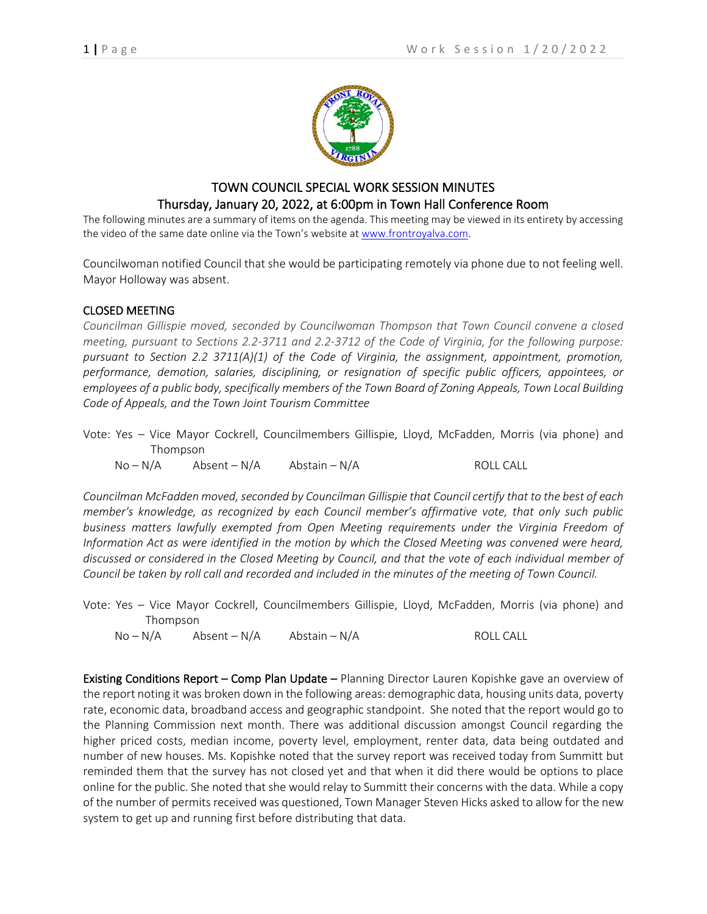

## TOWN COUNCIL SPECIAL WORK SESSION MINUTES Thursday, January 20, 2022, at 6:00pm in Town Hall Conference Room

The following minutes are a summary of items on the agenda. This meeting may be viewed in its entirety by accessing the video of the same date online via the Town's website a[t www.frontroyalva.com.](http://www.frontroyalva.com/)

Councilwoman notified Council that she would be participating remotely via phone due to not feeling well. Mayor Holloway was absent.

## CLOSED MEETING

*Councilman Gillispie moved, seconded by Councilwoman Thompson that Town Council convene a closed meeting, pursuant to Sections 2.2-3711 and 2.2-3712 of the Code of Virginia, for the following purpose: pursuant to Section 2.2 3711(A)(1) of the Code of Virginia, the assignment, appointment, promotion, performance, demotion, salaries, disciplining, or resignation of specific public officers, appointees, or employees of a public body, specifically members of the Town Board of Zoning Appeals, Town Local Building Code of Appeals, and the Town Joint Tourism Committee*

Vote: Yes – Vice Mayor Cockrell, Councilmembers Gillispie, Lloyd, McFadden, Morris (via phone) and Thompson

No – N/A Absent – N/A Abstain – N/A ROLL CALL

*Councilman McFadden moved, seconded by Councilman Gillispie that Council certify that to the best of each member's knowledge, as recognized by each Council member's affirmative vote, that only such public business matters lawfully exempted from Open Meeting requirements under the Virginia Freedom of Information Act as were identified in the motion by which the Closed Meeting was convened were heard, discussed or considered in the Closed Meeting by Council, and that the vote of each individual member of Council be taken by roll call and recorded and included in the minutes of the meeting of Town Council.* 

Vote: Yes – Vice Mayor Cockrell, Councilmembers Gillispie, Lloyd, McFadden, Morris (via phone) and Thompson

No – N/A Absent – N/A Abstain – N/A ROLL CALL

Existing Conditions Report – Comp Plan Update – Planning Director Lauren Kopishke gave an overview of the report noting it was broken down in the following areas: demographic data, housing units data, poverty rate, economic data, broadband access and geographic standpoint. She noted that the report would go to the Planning Commission next month. There was additional discussion amongst Council regarding the higher priced costs, median income, poverty level, employment, renter data, data being outdated and number of new houses. Ms. Kopishke noted that the survey report was received today from Summitt but reminded them that the survey has not closed yet and that when it did there would be options to place online for the public. She noted that she would relay to Summitt their concerns with the data. While a copy of the number of permits received was questioned, Town Manager Steven Hicks asked to allow for the new system to get up and running first before distributing that data.